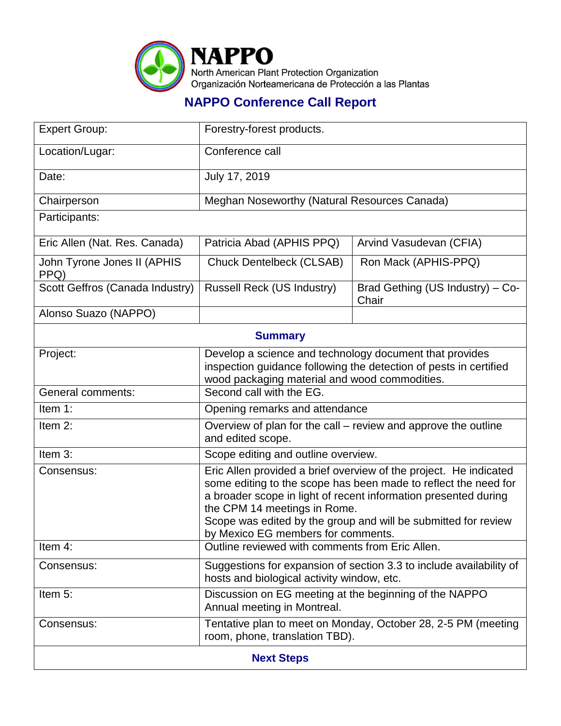

## **NAPPO Conference Call Report**

| <b>Expert Group:</b>                | Forestry-forest products.                                                                                                                                                                                                                                                                                                                       |                                           |  |  |
|-------------------------------------|-------------------------------------------------------------------------------------------------------------------------------------------------------------------------------------------------------------------------------------------------------------------------------------------------------------------------------------------------|-------------------------------------------|--|--|
| Location/Lugar:                     | Conference call                                                                                                                                                                                                                                                                                                                                 |                                           |  |  |
| Date:                               | July 17, 2019                                                                                                                                                                                                                                                                                                                                   |                                           |  |  |
| Chairperson                         | Meghan Noseworthy (Natural Resources Canada)                                                                                                                                                                                                                                                                                                    |                                           |  |  |
| Participants:                       |                                                                                                                                                                                                                                                                                                                                                 |                                           |  |  |
| Eric Allen (Nat. Res. Canada)       | Patricia Abad (APHIS PPQ)                                                                                                                                                                                                                                                                                                                       | Arvind Vasudevan (CFIA)                   |  |  |
| John Tyrone Jones II (APHIS<br>PPQ) | <b>Chuck Dentelbeck (CLSAB)</b>                                                                                                                                                                                                                                                                                                                 | Ron Mack (APHIS-PPQ)                      |  |  |
| Scott Geffros (Canada Industry)     | <b>Russell Reck (US Industry)</b>                                                                                                                                                                                                                                                                                                               | Brad Gething (US Industry) - Co-<br>Chair |  |  |
| Alonso Suazo (NAPPO)                |                                                                                                                                                                                                                                                                                                                                                 |                                           |  |  |
| <b>Summary</b>                      |                                                                                                                                                                                                                                                                                                                                                 |                                           |  |  |
| Project:                            | Develop a science and technology document that provides<br>inspection guidance following the detection of pests in certified<br>wood packaging material and wood commodities.                                                                                                                                                                   |                                           |  |  |
| <b>General comments:</b>            | Second call with the EG.                                                                                                                                                                                                                                                                                                                        |                                           |  |  |
| Item 1:                             | Opening remarks and attendance                                                                                                                                                                                                                                                                                                                  |                                           |  |  |
| Item 2:                             | Overview of plan for the call - review and approve the outline<br>and edited scope.                                                                                                                                                                                                                                                             |                                           |  |  |
| Item 3:                             | Scope editing and outline overview.                                                                                                                                                                                                                                                                                                             |                                           |  |  |
| Consensus:                          | Eric Allen provided a brief overview of the project. He indicated<br>some editing to the scope has been made to reflect the need for<br>a broader scope in light of recent information presented during<br>the CPM 14 meetings in Rome.<br>Scope was edited by the group and will be submitted for review<br>by Mexico EG members for comments. |                                           |  |  |
| Item 4:                             | Outline reviewed with comments from Eric Allen.                                                                                                                                                                                                                                                                                                 |                                           |  |  |
| Consensus:                          | Suggestions for expansion of section 3.3 to include availability of<br>hosts and biological activity window, etc.                                                                                                                                                                                                                               |                                           |  |  |
| Item 5:                             | Discussion on EG meeting at the beginning of the NAPPO<br>Annual meeting in Montreal.                                                                                                                                                                                                                                                           |                                           |  |  |
| Consensus:                          | Tentative plan to meet on Monday, October 28, 2-5 PM (meeting<br>room, phone, translation TBD).                                                                                                                                                                                                                                                 |                                           |  |  |
| <b>Next Steps</b>                   |                                                                                                                                                                                                                                                                                                                                                 |                                           |  |  |